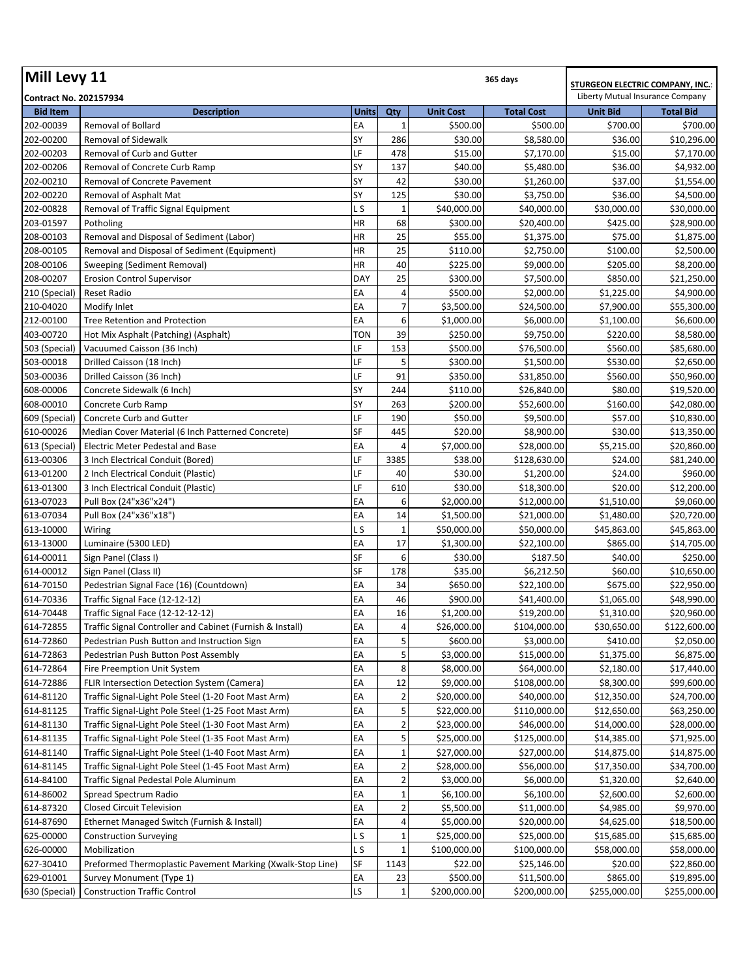| Mill Levy 11                  | <b>STURGEON ELECTRIC COMPANY, INC.:</b>                    |              |                |                  |                   |                                  |                  |
|-------------------------------|------------------------------------------------------------|--------------|----------------|------------------|-------------------|----------------------------------|------------------|
| <b>Contract No. 202157934</b> |                                                            |              |                |                  |                   | Liberty Mutual Insurance Company |                  |
| <b>Bid Item</b>               | <b>Description</b>                                         | <b>Units</b> | Qty            | <b>Unit Cost</b> | <b>Total Cost</b> | <b>Unit Bid</b>                  | <b>Total Bid</b> |
| 202-00039                     | Removal of Bollard                                         | EA           | 1              | \$500.00         | \$500.00          | \$700.00                         | \$700.00         |
| 202-00200                     | Removal of Sidewalk                                        | SY           | 286            | \$30.00          | \$8,580.00        | \$36.00                          | \$10,296.00      |
| 202-00203                     | Removal of Curb and Gutter                                 | LF           | 478            | \$15.00          | \$7,170.00        | \$15.00                          | \$7,170.00       |
| 202-00206                     | Removal of Concrete Curb Ramp                              | SY           | 137            | \$40.00          | \$5,480.00        | \$36.00                          | \$4,932.00       |
| 202-00210                     | Removal of Concrete Pavement                               | SY           | 42             | \$30.00          | \$1,260.00        | \$37.00                          | \$1,554.00       |
| 202-00220                     | Removal of Asphalt Mat                                     | SY           | 125            | \$30.00          | \$3,750.00        | \$36.00                          | \$4,500.00       |
| 202-00828                     | Removal of Traffic Signal Equipment                        | L S          | 1              | \$40,000.00      | \$40,000.00       | \$30,000.00                      | \$30,000.00      |
| 203-01597                     | Potholing                                                  | HR           | 68             | \$300.00         | \$20,400.00       | \$425.00                         | \$28,900.00      |
| 208-00103                     | Removal and Disposal of Sediment (Labor)                   | HR           | 25             | \$55.00          | \$1,375.00        | \$75.00                          | \$1,875.00       |
| 208-00105                     | Removal and Disposal of Sediment (Equipment)               | <b>HR</b>    | 25             | \$110.00         | \$2,750.00        | \$100.00                         | \$2,500.00       |
| 208-00106                     | Sweeping (Sediment Removal)                                | HR           | 40             | \$225.00         | \$9,000.00        | \$205.00                         | \$8,200.00       |
| 208-00207                     | <b>Erosion Control Supervisor</b>                          | <b>DAY</b>   | 25             | \$300.00         | \$7,500.00        | \$850.00                         | \$21,250.00      |
| 210 (Special)                 | Reset Radio                                                | EA           | 4              | \$500.00         | \$2,000.00        | \$1,225.00                       | \$4,900.00       |
| 210-04020                     | Modify Inlet                                               | EA           | $\overline{7}$ | \$3,500.00       | \$24,500.00       | \$7,900.00                       | \$55,300.00      |
| 212-00100                     | Tree Retention and Protection                              | EA           | 6              | \$1,000.00       | \$6,000.00        | \$1,100.00                       | \$6,600.00       |
| 403-00720                     | Hot Mix Asphalt (Patching) (Asphalt)                       | TON          | 39             | \$250.00         | \$9,750.00        | \$220.00                         | \$8,580.00       |
| 503 (Special)                 | Vacuumed Caisson (36 Inch)                                 | LF           | 153            | \$500.00         | \$76,500.00       | \$560.00                         | \$85,680.00      |
| 503-00018                     | Drilled Caisson (18 Inch)                                  | LF           | 5              | \$300.00         | \$1,500.00        | \$530.00                         | \$2,650.00       |
| 503-00036                     | Drilled Caisson (36 Inch)                                  | LF           | 91             | \$350.00         | \$31,850.00       | \$560.00                         | \$50,960.00      |
| 608-00006                     | Concrete Sidewalk (6 Inch)                                 | SY           | 244            | \$110.00         | \$26,840.00       | \$80.00                          | \$19,520.00      |
| 608-00010                     | Concrete Curb Ramp                                         | SY           | 263            | \$200.00         | \$52,600.00       | \$160.00                         | \$42,080.00      |
| 609 (Special)                 | Concrete Curb and Gutter                                   | LF           | 190            | \$50.00          | \$9,500.00        | \$57.00                          | \$10,830.00      |
| 610-00026                     | Median Cover Material (6 Inch Patterned Concrete)          | SF           | 445            | \$20.00          | \$8,900.00        | \$30.00                          | \$13,350.00      |
|                               |                                                            | EA           | 4              |                  |                   |                                  |                  |
| 613 (Special)                 | Electric Meter Pedestal and Base                           |              |                | \$7,000.00       | \$28,000.00       | \$5,215.00                       | \$20,860.00      |
| 613-00306                     | 3 Inch Electrical Conduit (Bored)                          | LF           | 3385           | \$38.00          | \$128,630.00      | \$24.00                          | \$81,240.00      |
| 613-01200                     | 2 Inch Electrical Conduit (Plastic)                        | LF           | 40             | \$30.00          | \$1,200.00        | \$24.00                          | \$960.00         |
| 613-01300                     | 3 Inch Electrical Conduit (Plastic)                        | LF           | 610            | \$30.00          | \$18,300.00       | \$20.00                          | \$12,200.00      |
| 613-07023                     | Pull Box (24"x36"x24")                                     | EA           | 6              | \$2,000.00       | \$12,000.00       | \$1,510.00                       | \$9,060.00       |
| 613-07034                     | Pull Box (24"x36"x18")                                     | EA           | 14             | \$1,500.00       | \$21,000.00       | \$1,480.00                       | \$20,720.00      |
| 613-10000                     | Wiring                                                     | L S          | $\mathbf 1$    | \$50,000.00      | \$50,000.00       | \$45,863.00                      | \$45,863.00      |
| 613-13000                     | Luminaire (5300 LED)                                       | EA           | 17             | \$1,300.00       | \$22,100.00       | \$865.00                         | \$14,705.00      |
| 614-00011                     | Sign Panel (Class I)                                       | SF           | 6              | \$30.00          | \$187.50          | \$40.00                          | \$250.00         |
| 614-00012                     | Sign Panel (Class II)                                      | SF           | 178            | \$35.00          | \$6,212.50        | \$60.00                          | \$10,650.00      |
| 614-70150                     | Pedestrian Signal Face (16) (Countdown)                    | EA           | 34             | \$650.00         | \$22,100.00       | \$675.00                         | \$22,950.00      |
| 614-70336                     | Traffic Signal Face (12-12-12)                             | EA           | 46             | \$900.00         | \$41,400.00       | \$1,065.00                       | \$48,990.00      |
| 614-70448                     | Traffic Signal Face (12-12-12-12)                          | EA           | 16             | \$1,200.00       | \$19,200.00       | \$1,310.00                       | \$20,960.00      |
| 614-72855                     | Traffic Signal Controller and Cabinet (Furnish & Install)  | EA           | 4              | \$26,000.00      | \$104,000.00      | \$30,650.00                      | \$122,600.00     |
| 614-72860                     | Pedestrian Push Button and Instruction Sign                | EA           | 5              | \$600.00         | \$3,000.00        | \$410.00                         | \$2,050.00       |
| 614-72863                     | Pedestrian Push Button Post Assembly                       | EA           | 5              | \$3,000.00       | \$15,000.00       | \$1,375.00                       | \$6,875.00       |
| 614-72864                     | Fire Preemption Unit System                                | EA           | 8              | \$8,000.00       | \$64,000.00       | \$2,180.00                       | \$17,440.00      |
| 614-72886                     | FLIR Intersection Detection System (Camera)                | EA           | 12             | \$9,000.00       | \$108,000.00      | \$8,300.00                       | \$99,600.00      |
| 614-81120                     | Traffic Signal-Light Pole Steel (1-20 Foot Mast Arm)       | EA           | $\overline{2}$ | \$20,000.00      | \$40,000.00       | \$12,350.00                      | \$24,700.00      |
| 614-81125                     | Traffic Signal-Light Pole Steel (1-25 Foot Mast Arm)       | EA           | 5              | \$22,000.00      | \$110,000.00      | \$12,650.00                      | \$63,250.00      |
| 614-81130                     | Traffic Signal-Light Pole Steel (1-30 Foot Mast Arm)       | EA           | $\overline{2}$ | \$23,000.00      | \$46,000.00       | \$14,000.00                      | \$28,000.00      |
| 614-81135                     | Traffic Signal-Light Pole Steel (1-35 Foot Mast Arm)       | EA           | 5              | \$25,000.00      | \$125,000.00      | \$14,385.00                      | \$71,925.00      |
| 614-81140                     | Traffic Signal-Light Pole Steel (1-40 Foot Mast Arm)       | EA           | $\mathbf 1$    | \$27,000.00      | \$27,000.00       | \$14,875.00                      | \$14,875.00      |
| 614-81145                     | Traffic Signal-Light Pole Steel (1-45 Foot Mast Arm)       | EA           | $\overline{2}$ | \$28,000.00      | \$56,000.00       | \$17,350.00                      | \$34,700.00      |
| 614-84100                     | Traffic Signal Pedestal Pole Aluminum                      | EA           | $\overline{2}$ | \$3,000.00       | \$6,000.00        | \$1,320.00                       | \$2,640.00       |
| 614-86002                     | Spread Spectrum Radio                                      | EA           | $\mathbf{1}$   | \$6,100.00       | \$6,100.00        | \$2,600.00                       | \$2,600.00       |
| 614-87320                     | Closed Circuit Television                                  | EA           | $\overline{2}$ | \$5,500.00       | \$11,000.00       | \$4,985.00                       | \$9,970.00       |
| 614-87690                     | Ethernet Managed Switch (Furnish & Install)                | EA           | 4              | \$5,000.00       | \$20,000.00       | \$4,625.00                       | \$18,500.00      |
| 625-00000                     | <b>Construction Surveying</b>                              | L S          | $\mathbf 1$    | \$25,000.00      | \$25,000.00       | \$15,685.00                      | \$15,685.00      |
| 626-00000                     | Mobilization                                               | L S          | 1              | \$100,000.00     | \$100,000.00      | \$58,000.00                      | \$58,000.00      |
| 627-30410                     | Preformed Thermoplastic Pavement Marking (Xwalk-Stop Line) | <b>SF</b>    | 1143           | \$22.00          | \$25,146.00       | \$20.00                          | \$22,860.00      |
| 629-01001                     | Survey Monument (Type 1)                                   | EA           | 23             | \$500.00         | \$11,500.00       | \$865.00                         | \$19,895.00      |
| 630 (Special)                 | <b>Construction Traffic Control</b>                        | <b>LS</b>    | $\mathbf 1$    | \$200,000.00     | \$200,000.00      | \$255,000.00                     | \$255,000.00     |
|                               |                                                            |              |                |                  |                   |                                  |                  |